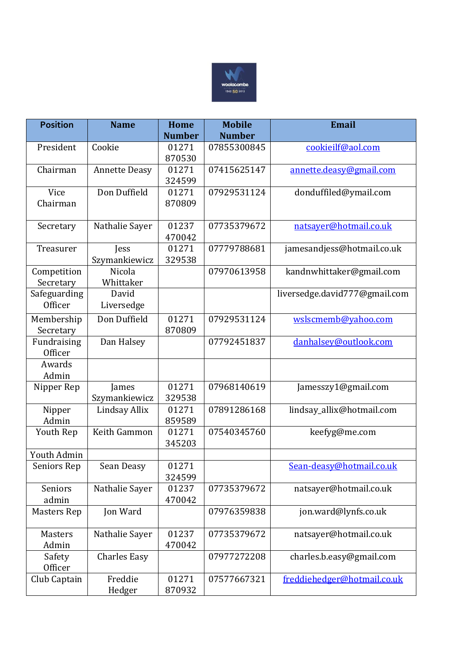

| <b>Position</b>          | <b>Name</b>          | <b>Home</b>     | <b>Mobile</b> | <b>Email</b>                  |
|--------------------------|----------------------|-----------------|---------------|-------------------------------|
|                          |                      | <b>Number</b>   | <b>Number</b> |                               |
| President                | Cookie               | 01271           | 07855300845   | cookieilf@aol.com             |
|                          |                      | 870530          |               |                               |
| Chairman                 | <b>Annette Deasy</b> | 01271<br>324599 | 07415625147   | annette.deasy@gmail.com       |
| Vice                     | Don Duffield         | 01271           | 07929531124   | donduffiled@ymail.com         |
| Chairman                 |                      | 870809          |               |                               |
| Secretary                | Nathalie Sayer       | 01237<br>470042 | 07735379672   | natsayer@hotmail.co.uk        |
| Treasurer                | Jess                 | 01271           | 07779788681   | jamesandjess@hotmail.co.uk    |
|                          | Szymankiewicz        | 329538          |               |                               |
| Competition<br>Secretary | Nicola<br>Whittaker  |                 | 07970613958   | kandnwhittaker@gmail.com      |
| Safeguarding             | David                |                 |               | liversedge.david777@gmail.com |
| <b>Officer</b>           | Liversedge           |                 |               |                               |
| Membership               | Don Duffield         | 01271           | 07929531124   | wslscmemb@yahoo.com           |
| Secretary                |                      | 870809          |               |                               |
| Fundraising              | Dan Halsey           |                 | 07792451837   | danhalsey@outlook.com         |
| <b>Officer</b>           |                      |                 |               |                               |
| Awards<br>Admin          |                      |                 |               |                               |
| Nipper Rep               | James                | 01271           | 07968140619   | Jamesszy1@gmail.com           |
|                          | Szymankiewicz        | 329538          |               |                               |
| Nipper<br>Admin          | Lindsay Allix        | 01271<br>859589 | 07891286168   | lindsay_allix@hotmail.com     |
| Youth Rep                | Keith Gammon         | 01271           | 07540345760   | keefyg@me.com                 |
|                          |                      | 345203          |               |                               |
| Youth Admin              |                      |                 |               |                               |
| Seniors Rep              | Sean Deasy           | 01271<br>324599 |               | Sean-deasy@hotmail.co.uk      |
| Seniors                  | Nathalie Sayer       | 01237           | 07735379672   | natsayer@hotmail.co.uk        |
| admin                    |                      | 470042          |               |                               |
| <b>Masters Rep</b>       | Jon Ward             |                 | 07976359838   | jon.ward@lynfs.co.uk          |
| <b>Masters</b>           | Nathalie Sayer       | 01237           | 07735379672   | natsayer@hotmail.co.uk        |
| Admin                    |                      | 470042          |               |                               |
| Safety                   | <b>Charles Easy</b>  |                 | 07977272208   | charles.b.easy@gmail.com      |
| <b>Officer</b>           |                      |                 |               |                               |
| Club Captain             | Freddie              | 01271           | 07577667321   | freddiehedger@hotmail.co.uk   |
|                          | Hedger               | 870932          |               |                               |